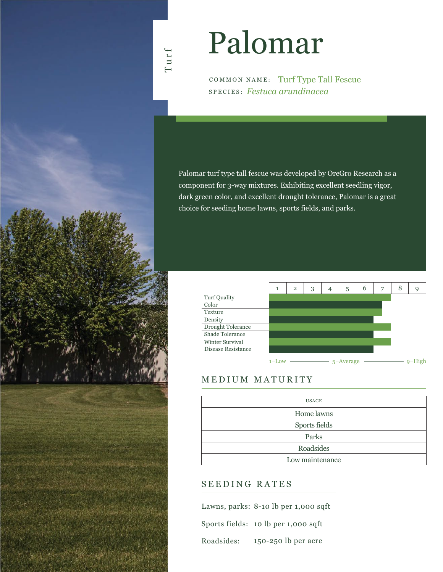

# Palomar

COMMON NAME: Turf Type Tall Fescue SPECIES: *Festuca arundinacea*

Palomar turf type tall fescue was developed by OreGro Research as a component for 3-way mixtures. Exhibiting excellent seedling vigor, dark green color, and excellent drought tolerance, Palomar is a great choice for seeding home lawns, sports fields, and parks.

|                    | 1        | $\overline{2}$ | 3 | 4 | 5             | 6 | ⇁ | 8 | g     |
|--------------------|----------|----------------|---|---|---------------|---|---|---|-------|
| Turf Quality       |          |                |   |   |               |   |   |   |       |
| Color              |          |                |   |   |               |   |   |   |       |
| Texture            |          |                |   |   |               |   |   |   |       |
| Density            |          |                |   |   |               |   |   |   |       |
| Drought Tolerance  |          |                |   |   |               |   |   |   |       |
| Shade Tolerance    |          |                |   |   |               |   |   |   |       |
| Winter Survival    |          |                |   |   |               |   |   |   |       |
| Disease Resistance |          |                |   |   |               |   |   |   |       |
|                    | $1 =$ LO |                |   |   | $5 =$ Average |   |   |   | $Q =$ |

## MEDIUM MATURITY

| USAGE           |
|-----------------|
| Home lawns      |
| Sports fields   |
| Parks           |
| Roadsides       |
| Low maintenance |

### SEEDING RATES

Lawns, parks: 8-10 lb per 1,000 sqft Sports fields: 10 lb per 1,000 sqft 150-250 lb per acre Roadsides: